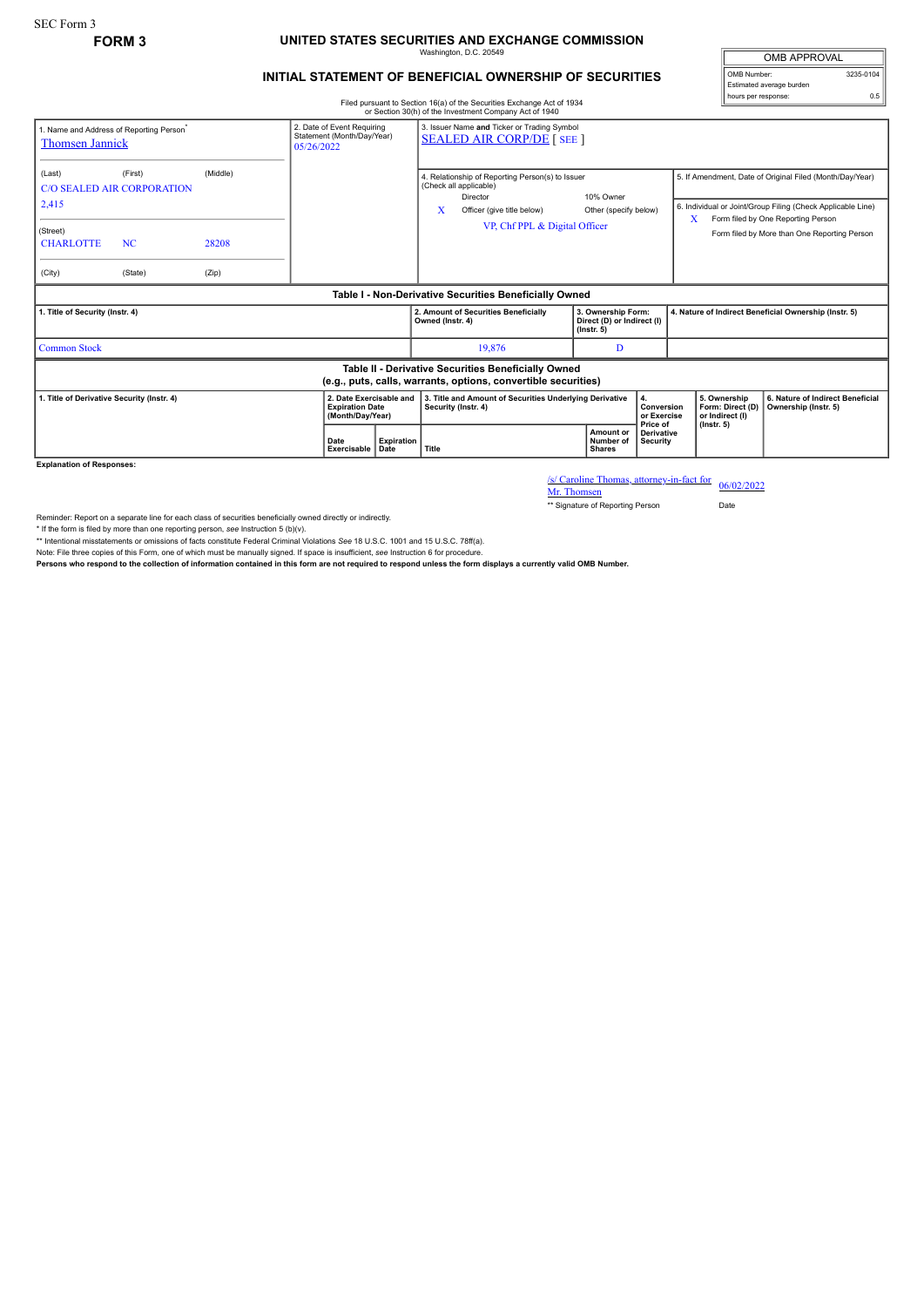## **FORM 3 UNITED STATES SECURITIES AND EXCHANGE COMMISSION** Washington, D.C. 20549

## **INITIAL STATEMENT OF BENEFICIAL OWNERSHIP OF SECURITIES**

OMB APPROVAL OMB Number: 3235-0104 Estimated average burden hours per response: 0.5

Filed pursuant to Section 16(a) of the Securities Exchange Act of 1934 or Section 30(h) of the Investment Company Act of 1940

| 2. Date of Event Requiring<br>1. Name and Address of Reporting Person <sup>*</sup><br>Statement (Month/Day/Year)<br><b>Thomsen Jannick</b><br>05/26/2022 |                                                                      |                            |                     |                           |                                                                                | 3. Issuer Name and Ticker or Trading Symbol<br><b>SEALED AIR CORP/DE [ SEE ]</b>                                                                      |                                                                      |                                           |                                                       |                                                                                                                                                                                                               |
|----------------------------------------------------------------------------------------------------------------------------------------------------------|----------------------------------------------------------------------|----------------------------|---------------------|---------------------------|--------------------------------------------------------------------------------|-------------------------------------------------------------------------------------------------------------------------------------------------------|----------------------------------------------------------------------|-------------------------------------------|-------------------------------------------------------|---------------------------------------------------------------------------------------------------------------------------------------------------------------------------------------------------------------|
| (Last)<br>2,415<br>(Street)<br><b>CHARLOTTE</b><br>(City)                                                                                                | (First)<br><b>C/O SEALED AIR CORPORATION</b><br><b>NC</b><br>(State) | (Middle)<br>28208<br>(Zip) |                     |                           | X                                                                              | 4. Relationship of Reporting Person(s) to Issuer<br>(Check all applicable)<br>Director<br>Officer (give title below)<br>VP, Chf PPL & Digital Officer | 10% Owner<br>Other (specify below)                                   |                                           | x                                                     | 5. If Amendment, Date of Original Filed (Month/Day/Year)<br>6. Individual or Joint/Group Filing (Check Applicable Line)<br>Form filed by One Reporting Person<br>Form filed by More than One Reporting Person |
| Table I - Non-Derivative Securities Beneficially Owned                                                                                                   |                                                                      |                            |                     |                           |                                                                                |                                                                                                                                                       |                                                                      |                                           |                                                       |                                                                                                                                                                                                               |
| 1. Title of Security (Instr. 4)                                                                                                                          |                                                                      |                            |                     |                           | Owned (Instr. 4)                                                               | 2. Amount of Securities Beneficially                                                                                                                  | 3. Ownership Form:<br>Direct (D) or Indirect (I)<br>$($ lnstr. 5 $)$ |                                           | 4. Nature of Indirect Beneficial Ownership (Instr. 5) |                                                                                                                                                                                                               |
| <b>Common Stock</b>                                                                                                                                      |                                                                      |                            |                     |                           |                                                                                | 19.876                                                                                                                                                | D                                                                    |                                           |                                                       |                                                                                                                                                                                                               |
| Table II - Derivative Securities Beneficially Owned<br>(e.g., puts, calls, warrants, options, convertible securities)                                    |                                                                      |                            |                     |                           |                                                                                |                                                                                                                                                       |                                                                      |                                           |                                                       |                                                                                                                                                                                                               |
| 1. Title of Derivative Security (Instr. 4)<br>2. Date Exercisable and<br><b>Expiration Date</b><br>(Month/Day/Year)                                      |                                                                      |                            |                     |                           | 3. Title and Amount of Securities Underlying Derivative<br>Security (Instr. 4) |                                                                                                                                                       |                                                                      | 4.<br>Conversion<br>or Exercise           | 5. Ownership<br>Form: Direct (D)<br>or Indirect (I)   | 6. Nature of Indirect Beneficial<br>Ownership (Instr. 5)                                                                                                                                                      |
|                                                                                                                                                          |                                                                      |                            | Date<br>Exercisable | <b>Expiration</b><br>Date | Title                                                                          |                                                                                                                                                       | Amount or<br>Number of<br><b>Shares</b>                              | Price of<br><b>Derivative</b><br>Security | $($ lnstr. 5 $)$                                      |                                                                                                                                                                                                               |

**Explanation of Responses:**

/s/ Caroline Thomas, attorney-in-fact for 06/02/2022<br>Mr. Thomsen

\*\* Signature of Reporting Person Date

Reminder: Report on a separate line for each class of securities beneficially owned directly or indirectly.

\* If the form is filed by more than one reporting person, see Instruction 5 (b)(v).<br>\*\* Intentional misstatements or omissions of facts constitute Federal Criminal Violations See 18 U.S.C. 1001 and 15 U.S.C. 78ff(a).

Note: File three copies of this Form, one of which must be manually signed. If space is insufficient, *see* Instruction 6 for procedure.

**Persons who respond to the collection of information contained in this form are not required to respond unless the form displays a currently valid OMB Number.**